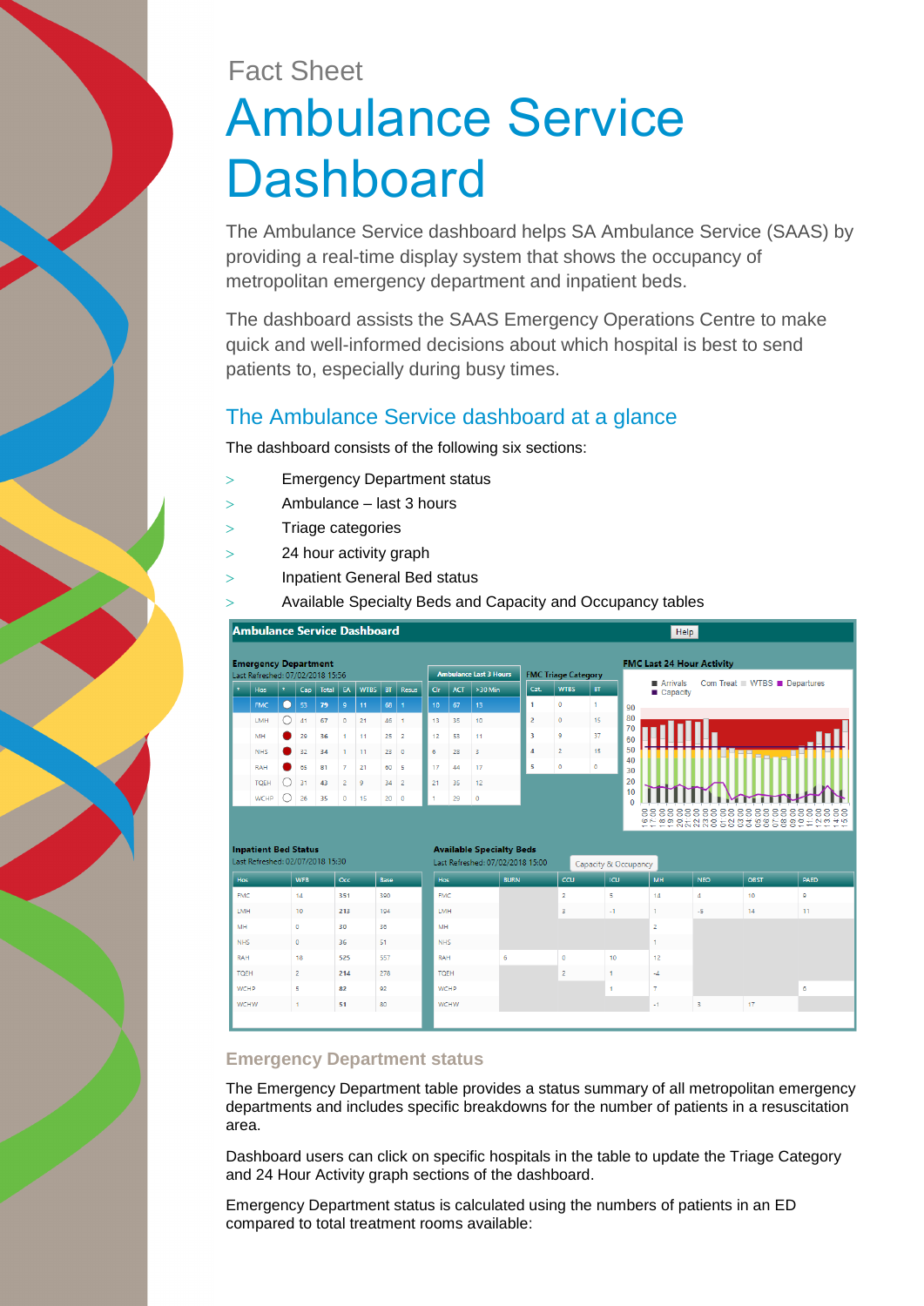# Fact Sheet Ambulance Service **Dashboard**

The Ambulance Service dashboard helps SA Ambulance Service (SAAS) by providing a real-time display system that shows the occupancy of metropolitan emergency department and inpatient beds.

The dashboard assists the SAAS Emergency Operations Centre to make quick and well-informed decisions about which hospital is best to send patients to, especially during busy times.

# The Ambulance Service dashboard at a glance

The dashboard consists of the following six sections:

- Emergency Department status
- Ambulance last 3 hours
- > Triage categories
- 24 hour activity graph
- Inpatient General Bed status
	- Available Specialty Beds and Capacity and Occupancy tables



## **Emergency Department status**

The Emergency Department table provides a status summary of all metropolitan emergency departments and includes specific breakdowns for the number of patients in a resuscitation area.

Dashboard users can click on specific hospitals in the table to update the Triage Category and 24 Hour Activity graph sections of the dashboard.

Emergency Department status is calculated using the numbers of patients in an ED compared to total treatment rooms available: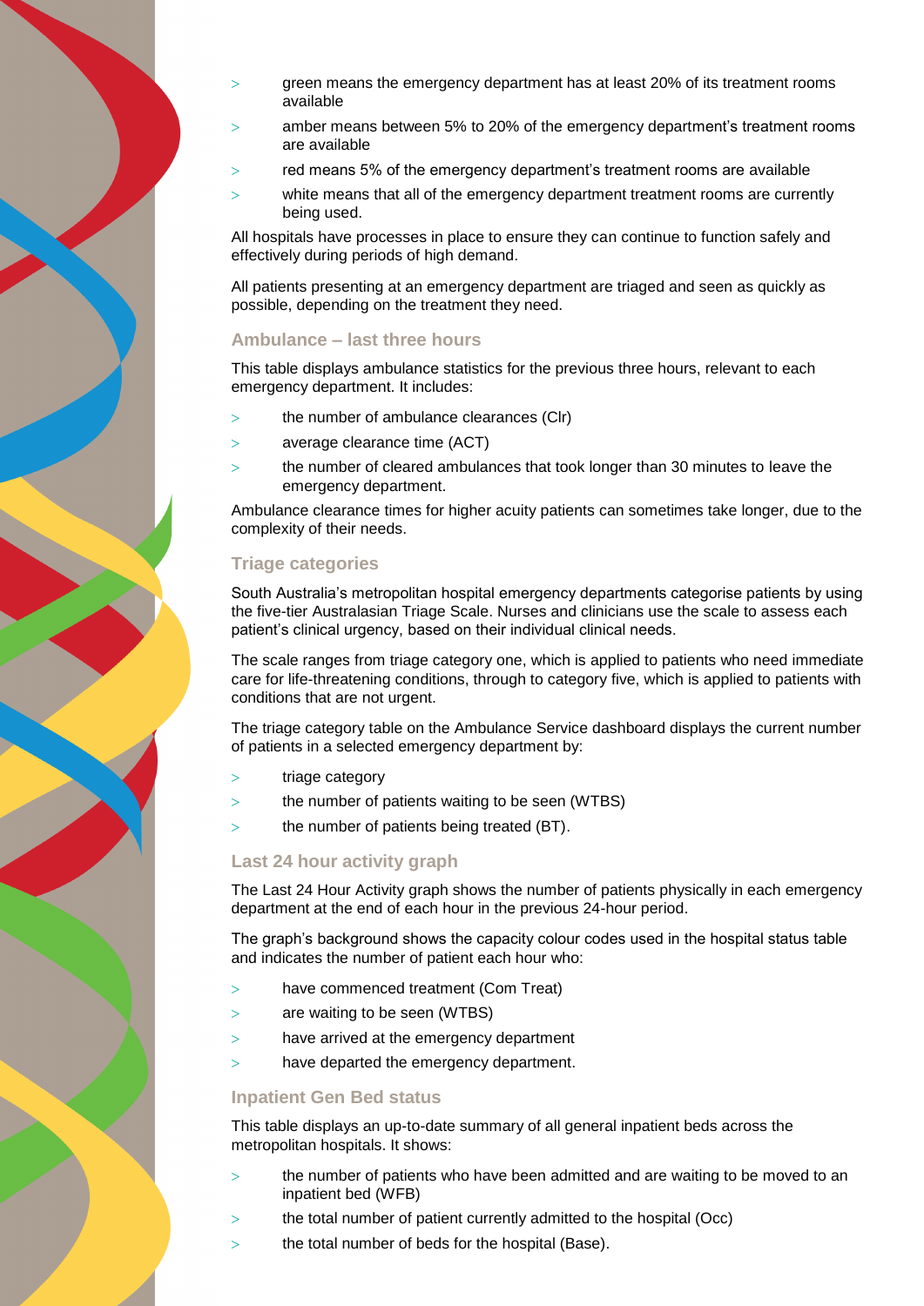- green means the emergency department has at least 20% of its treatment rooms available
- amber means between 5% to 20% of the emergency department's treatment rooms are available
- red means 5% of the emergency department's treatment rooms are available
- white means that all of the emergency department treatment rooms are currently being used.

All hospitals have processes in place to ensure they can continue to function safely and effectively during periods of high demand.

All patients presenting at an emergency department are triaged and seen as quickly as possible, depending on the treatment they need.

#### **Ambulance – last three hours**

This table displays ambulance statistics for the previous three hours, relevant to each emergency department. It includes:

- the number of ambulance clearances (Clr)
- average clearance time (ACT)
- the number of cleared ambulances that took longer than 30 minutes to leave the emergency department.

Ambulance clearance times for higher acuity patients can sometimes take longer, due to the complexity of their needs.

## **Triage categories**

South Australia's metropolitan hospital emergency departments categorise patients by using the five-tier Australasian Triage Scale. Nurses and clinicians use the scale to assess each patient's clinical urgency, based on their individual clinical needs.

The scale ranges from triage category one, which is applied to patients who need immediate care for life-threatening conditions, through to category five, which is applied to patients with conditions that are not urgent.

The triage category table on the Ambulance Service dashboard displays the current number of patients in a selected emergency department by:

- > triage category
- the number of patients waiting to be seen (WTBS)
- $>$  the number of patients being treated (BT).

#### **Last 24 hour activity graph**

The Last 24 Hour Activity graph shows the number of patients physically in each emergency department at the end of each hour in the previous 24-hour period.

The graph's background shows the capacity colour codes used in the hospital status table and indicates the number of patient each hour who:

- have commenced treatment (Com Treat)
- are waiting to be seen (WTBS)
- have arrived at the emergency department
- have departed the emergency department.

#### **Inpatient Gen Bed status**

This table displays an up-to-date summary of all general inpatient beds across the metropolitan hospitals. It shows:

- the number of patients who have been admitted and are waiting to be moved to an inpatient bed (WFB)
- the total number of patient currently admitted to the hospital (Occ)
- $>$  the total number of beds for the hospital (Base).